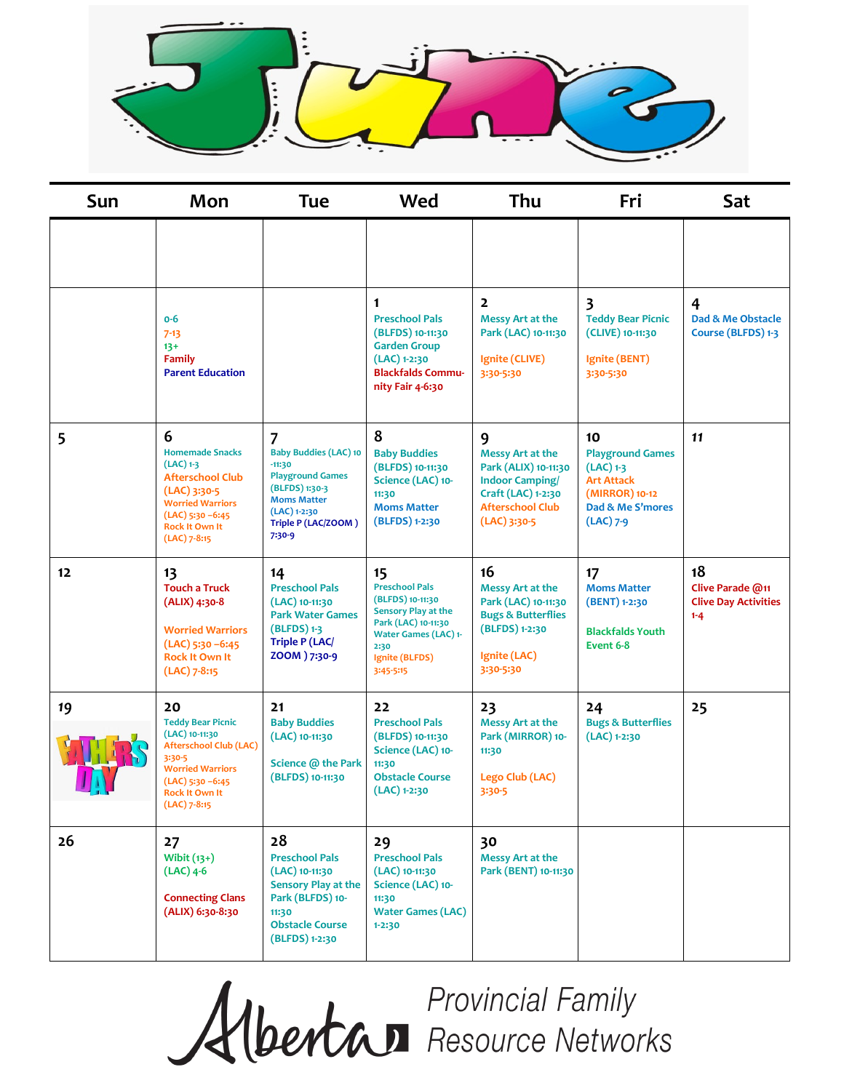

| Sun | Mon                                                                                                                                                                               | <b>Tue</b>                                                                                                                                                                         | Wed                                                                                                                                                                 | Thu                                                                                                                                        | Fri                                                                                                                    | Sat                                                              |
|-----|-----------------------------------------------------------------------------------------------------------------------------------------------------------------------------------|------------------------------------------------------------------------------------------------------------------------------------------------------------------------------------|---------------------------------------------------------------------------------------------------------------------------------------------------------------------|--------------------------------------------------------------------------------------------------------------------------------------------|------------------------------------------------------------------------------------------------------------------------|------------------------------------------------------------------|
|     |                                                                                                                                                                                   |                                                                                                                                                                                    |                                                                                                                                                                     |                                                                                                                                            |                                                                                                                        |                                                                  |
|     | $0-6$<br>$7 - 13$<br>$13+$<br><b>Family</b><br><b>Parent Education</b>                                                                                                            |                                                                                                                                                                                    | 1<br><b>Preschool Pals</b><br>(BLFDS) 10-11:30<br><b>Garden Group</b><br>$(LAC)$ 1-2:30<br><b>Blackfalds Commu-</b><br>nity Fair 4-6:30                             | $\overline{2}$<br>Messy Art at the<br>Park (LAC) 10-11:30<br>Ignite (CLIVE)<br>3:30-5:30                                                   | 3<br><b>Teddy Bear Picnic</b><br>(CLIVE) 10-11:30<br>Ignite (BENT)<br>3:30-5:30                                        | 4<br>Dad & Me Obstacle<br>Course (BLFDS) 1-3                     |
| 5   | 6<br><b>Homemade Snacks</b><br>$(LAC)$ 1-3<br><b>Afterschool Club</b><br>(LAC) 3:30-5<br><b>Worried Warriors</b><br>$(LAC)$ 5:30 -6:45<br><b>Rock It Own It</b><br>$(LAC)$ 7-8:15 | $\overline{7}$<br><b>Baby Buddies (LAC) 10</b><br>$-11:30$<br><b>Playground Games</b><br>(BLFDS) 1:30-3<br><b>Moms Matter</b><br>$(LAC)$ 1-2:30<br>Triple P (LAC/ZOOM)<br>$7:30-9$ | 8<br><b>Baby Buddies</b><br>(BLFDS) 10-11:30<br>Science (LAC) 10-<br>11:30<br><b>Moms Matter</b><br>(BLFDS) 1-2:30                                                  | 9<br>Messy Art at the<br>Park (ALIX) 10-11:30<br><b>Indoor Camping/</b><br>Craft (LAC) 1-2:30<br><b>Afterschool Club</b><br>$(LAC)$ 3:30-5 | 10<br><b>Playground Games</b><br>$(LAC)$ 1-3<br><b>Art Attack</b><br>(MIRROR) 10-12<br>Dad & Me S'mores<br>$(LAC)$ 7-9 | 11                                                               |
| 12  | 13<br><b>Touch a Truck</b><br>$(ALIX)$ 4:30-8<br><b>Worried Warriors</b><br>$(LAC)$ 5:30 -6:45<br><b>Rock It Own It</b><br>$(LAC)$ 7-8:15                                         | 14<br><b>Preschool Pals</b><br>(LAC) 10-11:30<br><b>Park Water Games</b><br>$(BLFDS)$ 1-3<br><b>Triple P (LAC/</b><br>ZOOM ) 7:30-9                                                | 15<br><b>Preschool Pals</b><br>(BLFDS) 10-11:30<br>Sensory Play at the<br>Park (LAC) 10-11:30<br><b>Water Games (LAC) 1-</b><br>2:30<br>Ignite (BLFDS)<br>3:45-5:15 | 16<br>Messy Art at the<br>Park (LAC) 10-11:30<br><b>Bugs &amp; Butterflies</b><br>(BLFDS) 1-2:30<br>Ignite (LAC)<br>3:30-5:30              | 17<br><b>Moms Matter</b><br>(BENT) 1-2:30<br><b>Blackfalds Youth</b><br>Event 6-8                                      | 18<br>Clive Parade @11<br><b>Clive Day Activities</b><br>$1 - 4$ |
| 19  | 20<br><b>Teddy Bear Picnic</b><br>(LAC) 10-11:30<br>Afterschool Club (LAC)<br>3:30-5<br><b>Worried Warriors</b><br>$(LAC)$ 5:30 -6:45<br><b>Rock It Own It</b><br>$(LAC)$ 7-8:15  | 21<br><b>Baby Buddies</b><br>(LAC) 10-11:30<br>Science @ the Park<br>(BLFDS) 10-11:30                                                                                              | 22<br><b>Preschool Pals</b><br>(BLFDS) 10-11:30<br>Science (LAC) 10-<br>11:30<br><b>Obstacle Course</b><br>$(LAC)$ 1-2:30                                           | 23<br>Messy Art at the<br>Park (MIRROR) 10-<br>11:30<br>Lego Club (LAC)<br>3:30-5                                                          | 24<br><b>Bugs &amp; Butterflies</b><br>(LAC) 1-2:30                                                                    | 25                                                               |
| 26  | 27<br>Wibit $(13+)$<br>$(LAC)$ 4-6<br><b>Connecting Clans</b><br>(ALIX) 6:30-8:30                                                                                                 | 28<br><b>Preschool Pals</b><br>(LAC) 10-11:30<br><b>Sensory Play at the</b><br>Park (BLFDS) 10-<br>11:30<br><b>Obstacle Course</b><br>(BLFDS) 1-2:30                               | 29<br><b>Preschool Pals</b><br>(LAC) 10-11:30<br>Science (LAC) 10-<br>11:30<br><b>Water Games (LAC)</b><br>$1 - 2:30$                                               | 30<br>Messy Art at the<br>Park (BENT) 10-11:30                                                                                             |                                                                                                                        |                                                                  |

**Albertan Provincial Family<br>Albertan Resource Networks**